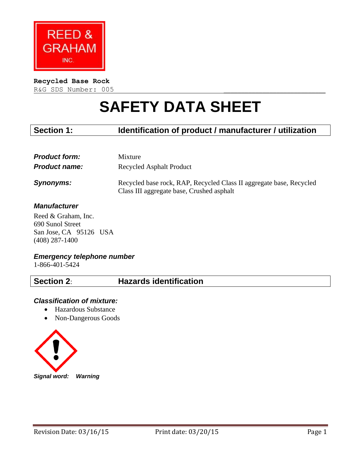

## **Recycled Base Rock**

R&G SDS Number: 005

# **SAFETY DATA SHEET**

## **Section 1: Identification of product / manufacturer / utilization**

| <b>Product form:</b> | <b>Mixture</b>                                                                                                   |
|----------------------|------------------------------------------------------------------------------------------------------------------|
| <b>Product name:</b> | <b>Recycled Asphalt Product</b>                                                                                  |
| Synonyms:            | Recycled base rock, RAP, Recycled Class II aggregate base, Recycled<br>Class III aggregate base, Crushed asphalt |

## *Manufacturer*

Reed & Graham, Inc. 690 Sunol Street San Jose, CA 95126 USA (408) 287-1400

#### *Emergency telephone number*

1-866-401-5424

**Section 2**: **Hazards identification** 

## *Classification of mixture:*

- Hazardous Substance
- Non-Dangerous Goods

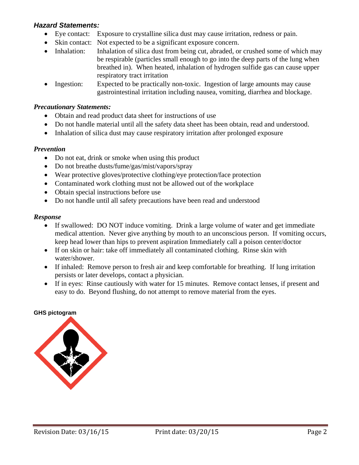## *Hazard Statements:*

- Eye contact: Exposure to crystalline silica dust may cause irritation, redness or pain.
- Skin contact: Not expected to be a significant exposure concern.
- Inhalation: Inhalation of silica dust from being cut, abraded, or crushed some of which may be respirable (particles small enough to go into the deep parts of the lung when breathed in). When heated, inhalation of hydrogen sulfide gas can cause upper respiratory tract irritation
- Ingestion: Expected to be practically non-toxic. Ingestion of large amounts may cause gastrointestinal irritation including nausea, vomiting, diarrhea and blockage.

## *Precautionary Statements:*

- Obtain and read product data sheet for instructions of use
- Do not handle material until all the safety data sheet has been obtain, read and understood.
- Inhalation of silica dust may cause respiratory irritation after prolonged exposure

## *Prevention*

- Do not eat, drink or smoke when using this product
- Do not breathe dusts/fume/gas/mist/vapors/spray
- Wear protective gloves/protective clothing/eye protection/face protection
- Contaminated work clothing must not be allowed out of the workplace
- Obtain special instructions before use
- Do not handle until all safety precautions have been read and understood

## *Response*

- If swallowed: DO NOT induce vomiting. Drink a large volume of water and get immediate medical attention. Never give anything by mouth to an unconscious person. If vomiting occurs, keep head lower than hips to prevent aspiration Immediately call a poison center/doctor
- If on skin or hair: take off immediately all contaminated clothing. Rinse skin with water/shower.
- If inhaled: Remove person to fresh air and keep comfortable for breathing. If lung irritation persists or later develops, contact a physician.
- If in eyes: Rinse cautiously with water for 15 minutes. Remove contact lenses, if present and easy to do. Beyond flushing, do not attempt to remove material from the eyes.

#### **GHS pictogram**

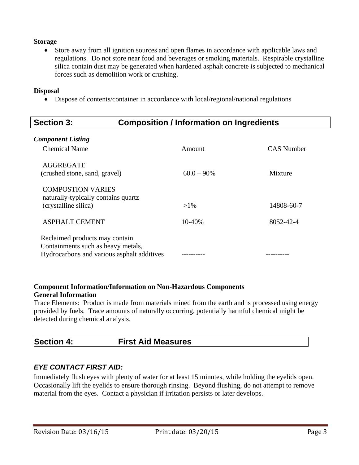## **Storage**

 Store away from all ignition sources and open flames in accordance with applicable laws and regulations. Do not store near food and beverages or smoking materials. Respirable crystalline silica contain dust may be generated when hardened asphalt concrete is subjected to mechanical forces such as demolition work or crushing.

#### **Disposal**

Dispose of contents/container in accordance with local/regional/national regulations

| <b>Section 3:</b>                                | <b>Composition / Information on Ingredients</b> |            |  |
|--------------------------------------------------|-------------------------------------------------|------------|--|
| <b>Component Listing</b><br><b>Chemical Name</b> | Amount                                          | CAS Number |  |
| AGGREGATE<br>(crushed stone, sand, gravel)       | $60.0 - 90\%$                                   | Mixture    |  |

(crystalline silica)  $>1\%$  14808-60-7

| <b>ASPHALT CEMENT</b>                                                                                              | $10 - 40%$ | 8052-42-4 |
|--------------------------------------------------------------------------------------------------------------------|------------|-----------|
| Reclaimed products may contain<br>Containments such as heavy metals,<br>Hydrocarbons and various asphalt additives |            |           |

## **Component Information/Information on Non-Hazardous Components General Information**

Trace Elements: Product is made from materials mined from the earth and is processed using energy provided by fuels. Trace amounts of naturally occurring, potentially harmful chemical might be detected during chemical analysis.

## **Section 4: First Aid Measures**

## *EYE CONTACT FIRST AID:*

COMPOSTION VARIES

naturally-typically contains quartz

Immediately flush eyes with plenty of water for at least 15 minutes, while holding the eyelids open. Occasionally lift the eyelids to ensure thorough rinsing. Beyond flushing, do not attempt to remove material from the eyes. Contact a physician if irritation persists or later develops.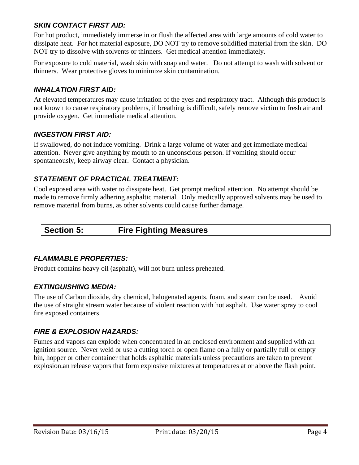## *SKIN CONTACT FIRST AID:*

For hot product, immediately immerse in or flush the affected area with large amounts of cold water to dissipate heat. For hot material exposure, DO NOT try to remove solidified material from the skin. DO NOT try to dissolve with solvents or thinners. Get medical attention immediately.

For exposure to cold material, wash skin with soap and water. Do not attempt to wash with solvent or thinners. Wear protective gloves to minimize skin contamination.

## *INHALATION FIRST AID:*

At elevated temperatures may cause irritation of the eyes and respiratory tract. Although this product is not known to cause respiratory problems, if breathing is difficult, safely remove victim to fresh air and provide oxygen. Get immediate medical attention.

## *INGESTION FIRST AID:*

If swallowed, do not induce vomiting. Drink a large volume of water and get immediate medical attention. Never give anything by mouth to an unconscious person. If vomiting should occur spontaneously, keep airway clear. Contact a physician.

## *STATEMENT OF PRACTICAL TREATMENT:*

Cool exposed area with water to dissipate heat. Get prompt medical attention. No attempt should be made to remove firmly adhering asphaltic material. Only medically approved solvents may be used to remove material from burns, as other solvents could cause further damage.

## **Section 5: Fire Fighting Measures**

## *FLAMMABLE PROPERTIES:*

Product contains heavy oil (asphalt), will not burn unless preheated.

## *EXTINGUISHING MEDIA:*

The use of Carbon dioxide, dry chemical, halogenated agents, foam, and steam can be used. Avoid the use of straight stream water because of violent reaction with hot asphalt. Use water spray to cool fire exposed containers.

## *FIRE & EXPLOSION HAZARDS:*

Fumes and vapors can explode when concentrated in an enclosed environment and supplied with an ignition source. Never weld or use a cutting torch or open flame on a fully or partially full or empty bin, hopper or other container that holds asphaltic materials unless precautions are taken to prevent explosion.an release vapors that form explosive mixtures at temperatures at or above the flash point.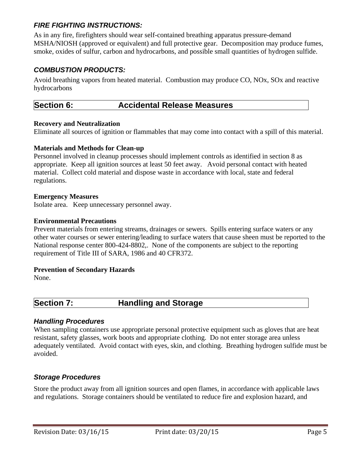## *FIRE FIGHTING INSTRUCTIONS:*

As in any fire, firefighters should wear self-contained breathing apparatus pressure-demand MSHA/NIOSH (approved or equivalent) and full protective gear. Decomposition may produce fumes, smoke, oxides of sulfur, carbon and hydrocarbons, and possible small quantities of hydrogen sulfide.

## *COMBUSTION PRODUCTS:*

Avoid breathing vapors from heated material. Combustion may produce CO, NOx, SOx and reactive hydrocarbons

## **Section 6: Accidental Release Measures**

## **Recovery and Neutralization**

Eliminate all sources of ignition or flammables that may come into contact with a spill of this material.

## **Materials and Methods for Clean-up**

Personnel involved in cleanup processes should implement controls as identified in section 8 as appropriate. Keep all ignition sources at least 50 feet away. Avoid personal contact with heated material. Collect cold material and dispose waste in accordance with local, state and federal regulations.

## **Emergency Measures**

Isolate area. Keep unnecessary personnel away.

## **Environmental Precautions**

Prevent materials from entering streams, drainages or sewers. Spills entering surface waters or any other water courses or sewer entering/leading to surface waters that cause sheen must be reported to the National response center 800-424-8802,. None of the components are subject to the reporting requirement of Title III of SARA, 1986 and 40 CFR372.

## **Prevention of Secondary Hazards**

None.

## **Section 7: Handling and Storage**

## *Handling Procedures*

When sampling containers use appropriate personal protective equipment such as gloves that are heat resistant, safety glasses, work boots and appropriate clothing. Do not enter storage area unless adequately ventilated. Avoid contact with eyes, skin, and clothing. Breathing hydrogen sulfide must be avoided.

## *Storage Procedures*

Store the product away from all ignition sources and open flames, in accordance with applicable laws and regulations. Storage containers should be ventilated to reduce fire and explosion hazard, and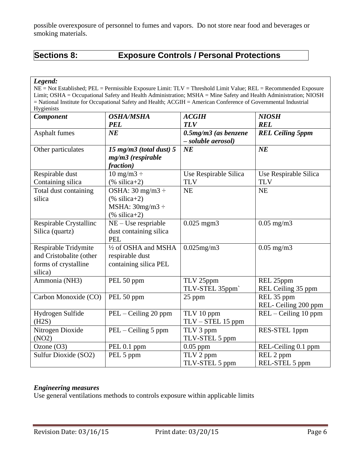possible overexposure of personnel to fumes and vapors. Do not store near food and beverages or smoking materials.

## **Sections 8: Exposure Controls / Personal Protections**

*Legend:*

NE = Not Established; PEL = Permissible Exposure Limit: TLV = Threshold Limit Value; REL = Recommended Exposure Limit; OSHA = Occupational Safety and Health Administration; MSHA = Mine Safety and Health Administration; NIOSH = National Institute for Occupational Safety and Health; ACGIH = American Conference of Governmental Industrial Hygienists

| Component               | <b>OSHA/MSHA</b>              | <b>ACGIH</b>               | <b>NIOSH</b>            |
|-------------------------|-------------------------------|----------------------------|-------------------------|
|                         | <b>PEL</b>                    | <b>TLV</b>                 | <b>REL</b>              |
| Asphalt fumes           | $N\!E$                        | $0.5$ mg/m $3$ (as benzene | <b>REL Ceiling 5ppm</b> |
|                         |                               | - soluble aerosol)         |                         |
| Other particulates      | 15 mg/m $3$ (total dust) $5$  | $N\!E$                     | NE                      |
|                         | $mg/m3$ (respirable           |                            |                         |
|                         | fraction)                     |                            |                         |
| Respirable dust         | $10 \text{ mg/m}3 \div$       | Use Respirable Silica      | Use Respirable Silica   |
| Containing silica       | $(% )$ silica+2)              | <b>TLV</b>                 | <b>TLV</b>              |
| Total dust containing   | OSHA: $30 \text{ mg/m}3 \div$ | <b>NE</b>                  | <b>NE</b>               |
| silica                  | $(%$ (% silica+2)             |                            |                         |
|                         | MSHA: $30mg/m3 \div$          |                            |                         |
|                         | $(\% \text{ silica+2})$       |                            |                         |
| Respirable Crystallinc  | $NE - Use$ respriable         | $0.025$ mgm $3$            | $0.05$ mg/m $3$         |
| Silica (quartz)         | dust containing silica        |                            |                         |
|                         | <b>PEL</b>                    |                            |                         |
| Respirable Tridymite    | 1/2 of OSHA and MSHA          | $0.025$ mg/m $3$           | $0.05$ mg/m $3$         |
| and Cristobalite (other | respirable dust               |                            |                         |
| forms of crystalline    | containing silica PEL         |                            |                         |
| silica)                 |                               |                            |                         |
| Ammonia (NH3)           | PEL 50 ppm                    | TLV 25ppm                  | REL 25ppm               |
|                         |                               | TLV-STEL 35ppm`            | REL Ceiling 35 ppm      |
| Carbon Monoxide (CO)    | PEL 50 ppm                    | 25 ppm                     | REL 35 ppm              |
|                         |                               |                            | REL- Ceiling 200 ppm    |
| Hydrogen Sulfide        | PEL – Ceiling 20 ppm          | TLV 10 ppm                 | $REL - Ceiling 10 ppm$  |
| (H2S)                   |                               | TLV - STEL 15 ppm          |                         |
| Nitrogen Dioxide        | PEL - Ceiling 5 ppm           | TLV 3 ppm                  | RES-STEL 1ppm           |
| (NO2)                   |                               | TLV-STEL 5 ppm             |                         |
| Ozone $(O3)$            | PEL 0.1 ppm                   | $0.05$ ppm                 | REL-Ceiling 0.1 ppm     |
| Sulfur Dioxide (SO2)    | PEL 5 ppm                     | TLV 2 ppm                  | REL 2 ppm               |
|                         |                               | TLV-STEL 5 ppm             | REL-STEL 5 ppm          |

## *Engineering measures*

Use general ventilations methods to controls exposure within applicable limits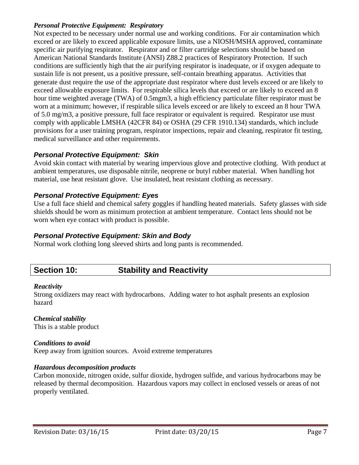## *Personal Protective Equipment: Respiratory*

Not expected to be necessary under normal use and working conditions. For air contamination which exceed or are likely to exceed applicable exposure limits, use a NIOSH/MSHA approved, contaminate specific air purifying respirator. Respirator and or filter cartridge selections should be based on American National Standards Institute (ANSI) Z88.2 practices of Respiratory Protection. If such conditions are sufficiently high that the air purifying respirator is inadequate, or if oxygen adequate to sustain life is not present, us a positive pressure, self-contain breathing apparatus. Activities that generate dust require the use of the appropriate dust respirator where dust levels exceed or are likely to exceed allowable exposure limits. For respirable silica levels that exceed or are likely to exceed an 8 hour time weighted average (TWA) of 0.5mgm3, a high efficiency particulate filter respirator must be worn at a minimum; however, if respirable silica levels exceed or are likely to exceed an 8 hour TWA of 5.0 mg/m3, a positive pressure, full face respirator or equivalent is required. Respirator use must comply with applicable LMSHA (42CFR 84) or OSHA (29 CFR 1910.134) standards, which include provisions for a user training program, respirator inspections, repair and cleaning, respirator fit testing, medical surveillance and other requirements.

## *Personal Protective Equipment: Skin*

Avoid skin contact with material by wearing impervious glove and protective clothing. With product at ambient temperatures, use disposable nitrile, neoprene or butyl rubber material. When handling hot material, use heat resistant glove. Use insulated, heat resistant clothing as necessary.

## *Personal Protective Equipment: Eyes*

Use a full face shield and chemical safety goggles if handling heated materials. Safety glasses with side shields should be worn as minimum protection at ambient temperature. Contact lens should not be worn when eye contact with product is possible.

## *Personal Protective Equipment: Skin and Body*

Normal work clothing long sleeved shirts and long pants is recommended.

## **Section 10: Stability and Reactivity**

## *Reactivity*

Strong oxidizers may react with hydrocarbons. Adding water to hot asphalt presents an explosion hazard

#### *Chemical stability* This is a stable product

## *Conditions to avoid*

Keep away from ignition sources. Avoid extreme temperatures

## *Hazardous decomposition products*

Carbon monoxide, nitrogen oxide, sulfur dioxide, hydrogen sulfide, and various hydrocarbons may be released by thermal decomposition. Hazardous vapors may collect in enclosed vessels or areas of not properly ventilated.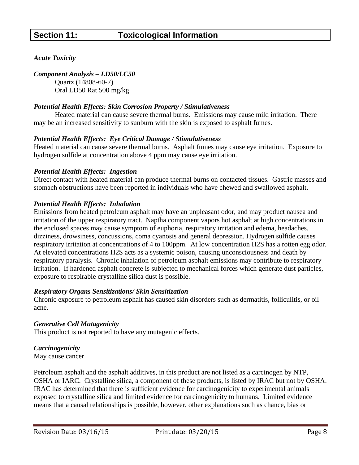## *Acute Toxicity*

*Component Analysis – LD50/LC50*

Quartz (14808-60-7) Oral LD50 Rat 500 mg/kg

## *Potential Health Effects: Skin Corrosion Property / Stimulativeness*

Heated material can cause severe thermal burns. Emissions may cause mild irritation. There may be an increased sensitivity to sunburn with the skin is exposed to asphalt fumes.

## *Potential Health Effects: Eye Critical Damage / Stimulativeness*

Heated material can cause severe thermal burns. Asphalt fumes may cause eye irritation. Exposure to hydrogen sulfide at concentration above 4 ppm may cause eye irritation.

## *Potential Health Effects: Ingestion*

Direct contact with heated material can produce thermal burns on contacted tissues. Gastric masses and stomach obstructions have been reported in individuals who have chewed and swallowed asphalt.

## *Potential Health Effects: Inhalation*

Emissions from heated petroleum asphalt may have an unpleasant odor, and may product nausea and irritation of the upper respiratory tract. Naptha component vapors hot asphalt at high concentrations in the enclosed spaces may cause symptom of euphoria, respiratory irritation and edema, headaches, dizziness, drowsiness, concussions, coma cyanosis and general depression. Hydrogen sulfide causes respiratory irritation at concentrations of 4 to 100ppm. At low concentration H2S has a rotten egg odor. At elevated concentrations H2S acts as a systemic poison, causing unconsciousness and death by respiratory paralysis. Chronic inhalation of petroleum asphalt emissions may contribute to respiratory irritation. If hardened asphalt concrete is subjected to mechanical forces which generate dust particles, exposure to respirable crystalline silica dust is possible.

## *Respiratory Organs Sensitizations/ Skin Sensitization*

Chronic exposure to petroleum asphalt has caused skin disorders such as dermatitis, folliculitis, or oil acne.

## *Generative Cell Mutagenicity*

This product is not reported to have any mutagenic effects.

## *Carcinogenicity*

May cause cancer

Petroleum asphalt and the asphalt additives, in this product are not listed as a carcinogen by NTP, OSHA or IARC. Crystalline silica, a component of these products, is listed by IRAC but not by OSHA. IRAC has determined that there is sufficient evidence for carcinogenicity to experimental animals exposed to crystalline silica and limited evidence for carcinogenicity to humans. Limited evidence means that a causal relationships is possible, however, other explanations such as chance, bias or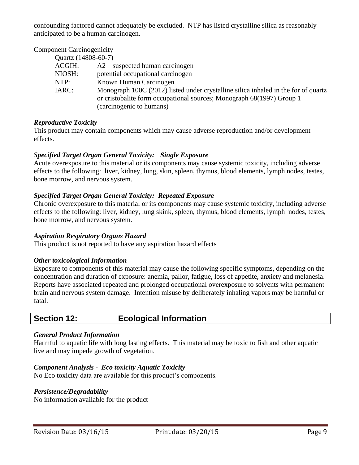confounding factored cannot adequately be excluded. NTP has listed crystalline silica as reasonably anticipated to be a human carcinogen.

| <b>Component Carcinogenicity</b> |                                                                                                                                                                                         |
|----------------------------------|-----------------------------------------------------------------------------------------------------------------------------------------------------------------------------------------|
| Quartz (14808-60-7)              |                                                                                                                                                                                         |
| ACGIH:                           | $A2$ – suspected human carcinogen                                                                                                                                                       |
| NIOSH:                           | potential occupational carcinogen                                                                                                                                                       |
| NTP:                             | Known Human Carcinogen                                                                                                                                                                  |
| IARC:                            | Monograph 100C (2012) listed under crystalline silica inhaled in the for of quartz<br>or cristobalite form occupational sources; Monograph 68(1997) Group 1<br>(carcinogenic to humans) |

## *Reproductive Toxicity*

This product may contain components which may cause adverse reproduction and/or development effects.

## *Specified Target Organ General Toxicity: Single Exposure*

Acute overexposure to this material or its components may cause systemic toxicity, including adverse effects to the following: liver, kidney, lung, skin, spleen, thymus, blood elements, lymph nodes, testes, bone morrow, and nervous system.

## *Specified Target Organ General Toxicity: Repeated Exposure*

Chronic overexposure to this material or its components may cause systemic toxicity, including adverse effects to the following: liver, kidney, lung skink, spleen, thymus, blood elements, lymph nodes, testes, bone morrow, and nervous system.

## *Aspiration Respiratory Organs Hazard*

This product is not reported to have any aspiration hazard effects

## *Other toxicological Information*

Exposure to components of this material may cause the following specific symptoms, depending on the concentration and duration of exposure: anemia, pallor, fatigue, loss of appetite, anxiety and melanesia. Reports have associated repeated and prolonged occupational overexposure to solvents with permanent brain and nervous system damage. Intention misuse by deliberately inhaling vapors may be harmful or fatal.

## **Section 12: Ecological Information**

## *General Product Information*

Harmful to aquatic life with long lasting effects. This material may be toxic to fish and other aquatic live and may impede growth of vegetation.

## *Component Analysis - Eco toxicity Aquatic Toxicity*

No Eco toxicity data are available for this product's components.

## *Persistence/Degradability*

No information available for the product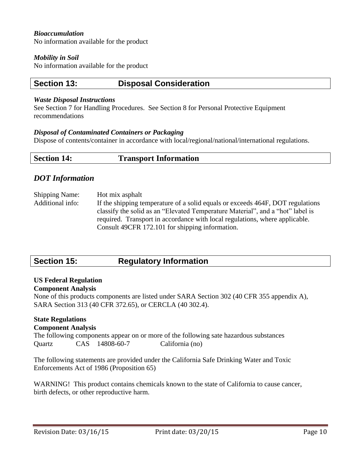## *Bioaccumulation*

No information available for the product

#### *Mobility in Soil*

No information available for the product

## **Section 13: Disposal Consideration**

#### *Waste Disposal Instructions*

See Section 7 for Handling Procedures. See Section 8 for Personal Protective Equipment recommendations

#### *Disposal of Contaminated Containers or Packaging*

Dispose of contents/container in accordance with local/regional/national/international regulations.

| <b>Section 14:</b> | <b>Transport Information</b> |  |
|--------------------|------------------------------|--|
|--------------------|------------------------------|--|

## *DOT Information*

Shipping Name: Hot mix asphalt Additional info: If the shipping temperature of a solid equals or exceeds 464F, DOT regulations classify the solid as an "Elevated Temperature Material", and a "hot" label is required. Transport in accordance with local regulations, where applicable. Consult 49CFR 172.101 for shipping information.

## **Section 15: Regulatory Information**

## **US Federal Regulation**

#### **Component Analysis**

None of this products components are listed under SARA Section 302 (40 CFR 355 appendix A), SARA Section 313 (40 CFR 372.65), or CERCLA (40 302.4).

## **State Regulations**

#### **Component Analysis**

The following components appear on or more of the following sate hazardous substances Quartz CAS 14808-60-7 California (no)

The following statements are provided under the California Safe Drinking Water and Toxic Enforcements Act of 1986 (Proposition 65)

WARNING! This product contains chemicals known to the state of California to cause cancer, birth defects, or other reproductive harm.